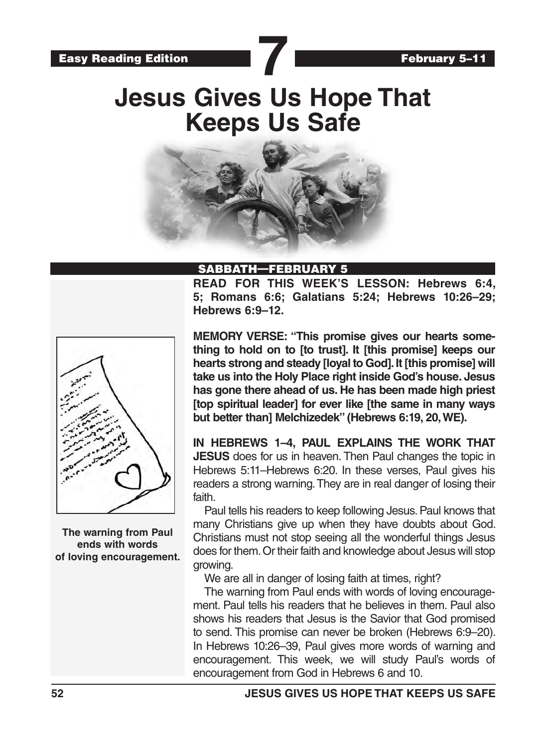# **Jesus Gives Us Hope That Keeps Us Safe**



## SABBATH—FEBRU

**READ FOR THIS WEEK'S LESSON: Hebrews 6:4, 5; Romans 6:6; Galatians 5:24; Hebrews 10:26–29; Hebrews 6:9–12.**



**The warning from Paul ends with words of loving encouragement.** **MEMORY VERSE: "This promise gives our hearts something to hold on to [to trust]. It [this promise] keeps our hearts strong and steady [loyal to God]. It [this promise] will take us into the Holy Place right inside God's house. Jesus has gone there ahead of us. He has been made high priest [top spiritual leader] for ever like [the same in many ways but better than] Melchizedek" (Hebrews 6:19, 20, WE).**

**IN HEBREWS 1–4, PAUL EXPLAINS THE WORK THAT JESUS** does for us in heaven. Then Paul changes the topic in Hebrews 5:11–Hebrews 6:20. In these verses, Paul gives his readers a strong warning. They are in real danger of losing their faith.

Paul tells his readers to keep following Jesus. Paul knows that many Christians give up when they have doubts about God. Christians must not stop seeing all the wonderful things Jesus does for them. Or their faith and knowledge about Jesus will stop growing.

We are all in danger of losing faith at times, right?

The warning from Paul ends with words of loving encouragement. Paul tells his readers that he believes in them. Paul also shows his readers that Jesus is the Savior that God promised to send. This promise can never be broken (Hebrews 6:9–20). In Hebrews 10:26–39, Paul gives more words of warning and encouragement. This week, we will study Paul's words of encouragement from God in Hebrews 6 and 10.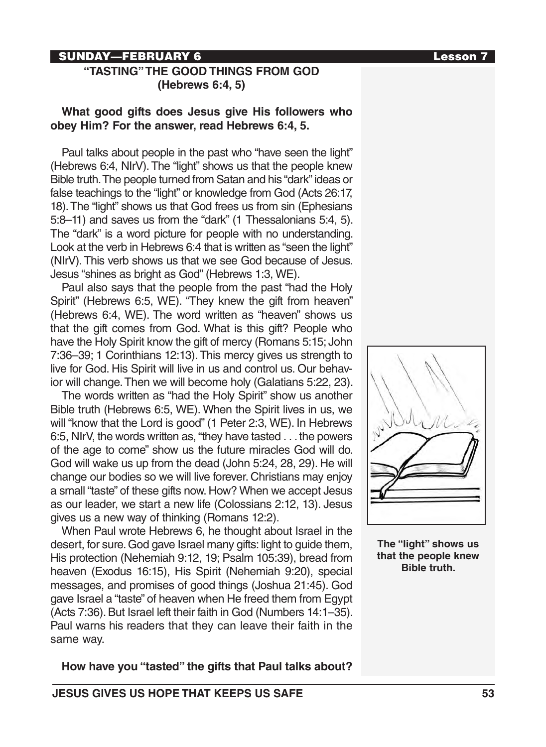# SUNDAY—FEBRUARY 6 Lesson 7

# **"TASTING" THE GOOD THINGS FROM GOD (Hebrews 6:4, 5)**

# **What good gifts does Jesus give His followers who obey Him? For the answer, read Hebrews 6:4, 5.**

Paul talks about people in the past who "have seen the light" (Hebrews 6:4, NIrV). The "light" shows us that the people knew Bible truth. The people turned from Satan and his "dark" ideas or false teachings to the "light" or knowledge from God (Acts 26:17, 18). The "light" shows us that God frees us from sin (Ephesians 5:8–11) and saves us from the "dark" (1 Thessalonians 5:4, 5). The "dark" is a word picture for people with no understanding. Look at the verb in Hebrews 6:4 that is written as "seen the light" (NIrV). This verb shows us that we see God because of Jesus. Jesus "shines as bright as God" (Hebrews 1:3, WE).

Paul also says that the people from the past "had the Holy Spirit" (Hebrews 6:5, WE). "They knew the gift from heaven" (Hebrews 6:4, WE). The word written as "heaven" shows us that the gift comes from God. What is this gift? People who have the Holy Spirit know the gift of mercy (Romans 5:15; John 7:36–39; 1 Corinthians 12:13). This mercy gives us strength to live for God. His Spirit will live in us and control us. Our behavior will change. Then we will become holy (Galatians 5:22, 23).

The words written as "had the Holy Spirit" show us another Bible truth (Hebrews 6:5, WE). When the Spirit lives in us, we will "know that the Lord is good" (1 Peter 2:3, WE). In Hebrews 6:5, NIrV, the words written as, "they have tasted . . . the powers of the age to come" show us the future miracles God will do. God will wake us up from the dead (John 5:24, 28, 29). He will change our bodies so we will live forever. Christians may enjoy a small "taste" of these gifts now. How? When we accept Jesus as our leader, we start a new life (Colossians 2:12, 13). Jesus gives us a new way of thinking (Romans 12:2).

When Paul wrote Hebrews 6, he thought about Israel in the desert, for sure. God gave Israel many gifts: light to guide them, His protection (Nehemiah 9:12, 19; Psalm 105:39), bread from heaven (Exodus 16:15), His Spirit (Nehemiah 9:20), special messages, and promises of good things (Joshua 21:45). God gave Israel a "taste" of heaven when He freed them from Egypt (Acts 7:36). But Israel left their faith in God (Numbers 14:1–35). Paul warns his readers that they can leave their faith in the same way.

**How have you "tasted" the gifts that Paul talks about?**



**The "light" shows us that the people knew Bible truth.**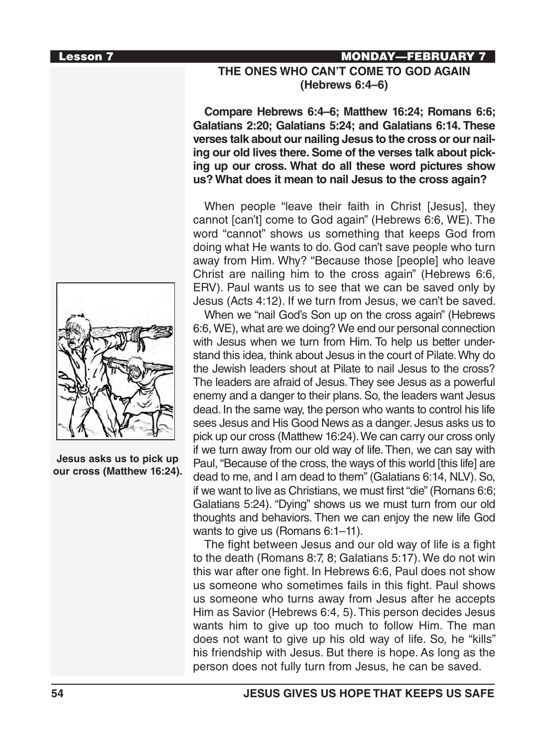

**Jesus asks us to pick up our cross (Matthew 16:24).**

# Lesson 7 MONDAY—FEBRUARY 7 **THE ONES WHO CAN'T COME TO GOD AGAIN (Hebrews 6:4–6)**

**Compare Hebrews 6:4–6; Matthew 16:24; Romans 6:6; Galatians 2:20; Galatians 5:24; and Galatians 6:14. These verses talk about our nailing Jesus to the cross or our nailing our old lives there. Some of the verses talk about picking up our cross. What do all these word pictures show us? What does it mean to nail Jesus to the cross again?**

When people "leave their faith in Christ [Jesus], they cannot [can't] come to God again" (Hebrews 6:6, WE). The word "cannot" shows us something that keeps God from doing what He wants to do. God can't save people who turn away from Him. Why? "Because those [people] who leave Christ are nailing him to the cross again" (Hebrews 6:6, ERV). Paul wants us to see that we can be saved only by Jesus (Acts 4:12). If we turn from Jesus, we can't be saved.

When we "nail God's Son up on the cross again" (Hebrews 6:6, WE), what are we doing? We end our personal connection with Jesus when we turn from Him. To help us better understand this idea, think about Jesus in the court of Pilate. Why do the Jewish leaders shout at Pilate to nail Jesus to the cross? The leaders are afraid of Jesus. They see Jesus as a powerful enemy and a danger to their plans. So, the leaders want Jesus dead. In the same way, the person who wants to control his life sees Jesus and His Good News as a danger. Jesus asks us to pick up our cross (Matthew 16:24). We can carry our cross only if we turn away from our old way of life. Then, we can say with Paul, "Because of the cross, the ways of this world [this life] are dead to me, and I am dead to them" (Galatians 6:14, NLV). So, if we want to live as Christians, we must first "die" (Romans 6:6; Galatians 5:24). "Dying" shows us we must turn from our old thoughts and behaviors. Then we can enjoy the new life God wants to give us (Romans 6:1–11).

The fight between Jesus and our old way of life is a fight to the death (Romans 8:7, 8; Galatians 5:17). We do not win this war after one fight. In Hebrews 6:6, Paul does not show us someone who sometimes fails in this fight. Paul shows us someone who turns away from Jesus after he accepts Him as Savior (Hebrews 6:4, 5). This person decides Jesus wants him to give up too much to follow Him. The man does not want to give up his old way of life. So, he "kills" his friendship with Jesus. But there is hope. As long as the person does not fully turn from Jesus, he can be saved.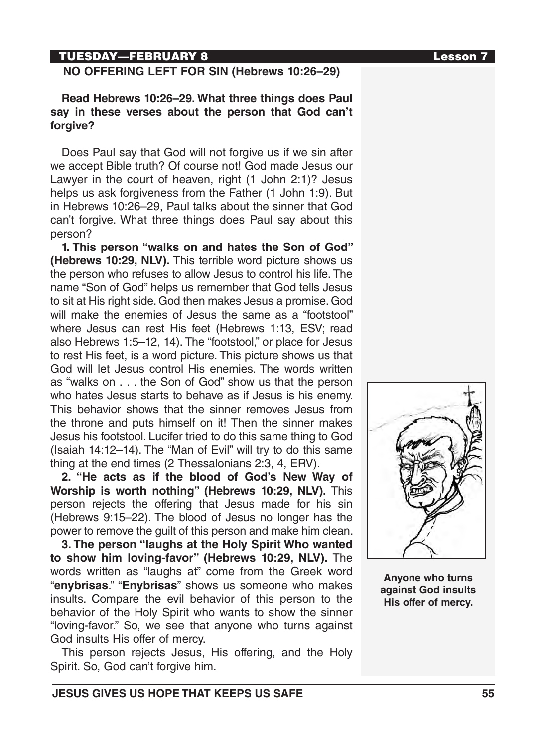# TUESDAY—FEBRUARY 8 Lesson 7

# **NO OFFERING LEFT FOR SIN (Hebrews 10:26–29)**

**Read Hebrews 10:26–29. What three things does Paul say in these verses about the person that God can't forgive?**

Does Paul say that God will not forgive us if we sin after we accept Bible truth? Of course not! God made Jesus our Lawyer in the court of heaven, right (1 John 2:1)? Jesus helps us ask forgiveness from the Father (1 John 1:9). But in Hebrews 10:26–29, Paul talks about the sinner that God can't forgive. What three things does Paul say about this person?

**1. This person "walks on and hates the Son of God" (Hebrews 10:29, NLV).** This terrible word picture shows us the person who refuses to allow Jesus to control his life. The name "Son of God" helps us remember that God tells Jesus to sit at His right side. God then makes Jesus a promise. God will make the enemies of Jesus the same as a "footstool" where Jesus can rest His feet (Hebrews 1:13, ESV; read also Hebrews 1:5–12, 14). The "footstool," or place for Jesus to rest His feet, is a word picture. This picture shows us that God will let Jesus control His enemies. The words written as "walks on . . . the Son of God" show us that the person who hates Jesus starts to behave as if Jesus is his enemy. This behavior shows that the sinner removes Jesus from the throne and puts himself on it! Then the sinner makes Jesus his footstool. Lucifer tried to do this same thing to God (Isaiah 14:12–14). The "Man of Evil" will try to do this same thing at the end times (2 Thessalonians 2:3, 4, ERV).

**2. "He acts as if the blood of God's New Way of Worship is worth nothing" (Hebrews 10:29, NLV).** This person rejects the offering that Jesus made for his sin (Hebrews 9:15–22). The blood of Jesus no longer has the power to remove the guilt of this person and make him clean.

**3. The person "laughs at the Holy Spirit Who wanted to show him loving-favor" (Hebrews 10:29, NLV).** The words written as "laughs at" come from the Greek word "**enybrisas**." "**Enybrisas**" shows us someone who makes insults. Compare the evil behavior of this person to the behavior of the Holy Spirit who wants to show the sinner "loving-favor." So, we see that anyone who turns against God insults His offer of mercy.

This person rejects Jesus, His offering, and the Holy Spirit. So, God can't forgive him.



**Anyone who turns against God insults His offer of mercy.**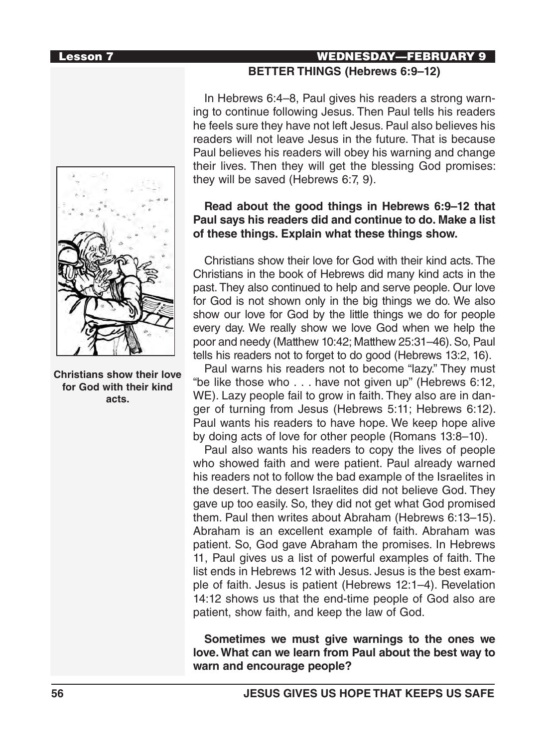

**Christians show their love for God with their kind acts.**

# Lesson 7 WEDNESDAY—FEBRUARY 9 **BETTER THINGS (Hebrews 6:9–12)**

In Hebrews 6:4–8, Paul gives his readers a strong warning to continue following Jesus. Then Paul tells his readers he feels sure they have not left Jesus. Paul also believes his readers will not leave Jesus in the future. That is because Paul believes his readers will obey his warning and change their lives. Then they will get the blessing God promises: they will be saved (Hebrews 6:7, 9).

# **Read about the good things in Hebrews 6:9–12 that Paul says his readers did and continue to do. Make a list of these things. Explain what these things show.**

Christians show their love for God with their kind acts. The Christians in the book of Hebrews did many kind acts in the past. They also continued to help and serve people. Our love for God is not shown only in the big things we do. We also show our love for God by the little things we do for people every day. We really show we love God when we help the poor and needy (Matthew 10:42; Matthew 25:31–46). So, Paul tells his readers not to forget to do good (Hebrews 13:2, 16).

Paul warns his readers not to become "lazy." They must "be like those who . . . have not given up" (Hebrews 6:12, WE). Lazy people fail to grow in faith. They also are in danger of turning from Jesus (Hebrews 5:11; Hebrews 6:12). Paul wants his readers to have hope. We keep hope alive by doing acts of love for other people (Romans 13:8–10).

Paul also wants his readers to copy the lives of people who showed faith and were patient. Paul already warned his readers not to follow the bad example of the Israelites in the desert. The desert Israelites did not believe God. They gave up too easily. So, they did not get what God promised them. Paul then writes about Abraham (Hebrews 6:13–15). Abraham is an excellent example of faith. Abraham was patient. So, God gave Abraham the promises. In Hebrews 11, Paul gives us a list of powerful examples of faith. The list ends in Hebrews 12 with Jesus. Jesus is the best example of faith. Jesus is patient (Hebrews 12:1–4). Revelation 14:12 shows us that the end-time people of God also are patient, show faith, and keep the law of God.

**Sometimes we must give warnings to the ones we love. What can we learn from Paul about the best way to warn and encourage people?**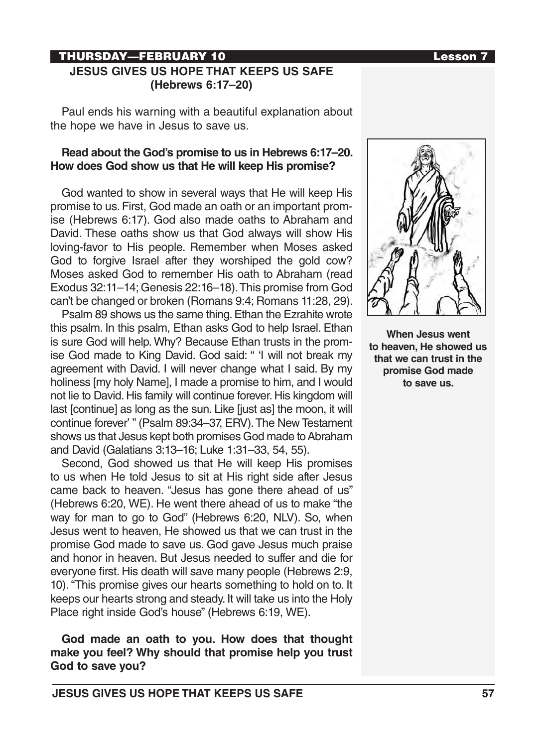## THURSDAY—FEBRUARY 10 Lesson 7 **JESUS GIVES US HOPE THAT KEEPS US SAFE (Hebrews 6:17–20)**

Paul ends his warning with a beautiful explanation about the hope we have in Jesus to save us.

## **Read about the God's promise to us in Hebrews 6:17–20. How does God show us that He will keep His promise?**

God wanted to show in several ways that He will keep His promise to us. First, God made an oath or an important promise (Hebrews 6:17). God also made oaths to Abraham and David. These oaths show us that God always will show His loving-favor to His people. Remember when Moses asked God to forgive Israel after they worshiped the gold cow? Moses asked God to remember His oath to Abraham (read Exodus 32:11–14; Genesis 22:16–18). This promise from God can't be changed or broken (Romans 9:4; Romans 11:28, 29).

Psalm 89 shows us the same thing. Ethan the Ezrahite wrote this psalm. In this psalm, Ethan asks God to help Israel. Ethan is sure God will help. Why? Because Ethan trusts in the promise God made to King David. God said: " 'I will not break my agreement with David. I will never change what I said. By my holiness [my holy Name], I made a promise to him, and I would not lie to David. His family will continue forever. His kingdom will last [continue] as long as the sun. Like [just as] the moon, it will continue forever' " (Psalm 89:34–37, ERV). The New Testament shows us that Jesus kept both promises God made to Abraham and David (Galatians 3:13–16; Luke 1:31–33, 54, 55).

Second, God showed us that He will keep His promises to us when He told Jesus to sit at His right side after Jesus came back to heaven. "Jesus has gone there ahead of us" (Hebrews 6:20, WE). He went there ahead of us to make "the way for man to go to God" (Hebrews 6:20, NLV). So, when Jesus went to heaven, He showed us that we can trust in the promise God made to save us. God gave Jesus much praise and honor in heaven. But Jesus needed to suffer and die for everyone first. His death will save many people (Hebrews 2:9, 10). "This promise gives our hearts something to hold on to. It keeps our hearts strong and steady. It will take us into the Holy Place right inside God's house" (Hebrews 6:19, WE).

**God made an oath to you. How does that thought make you feel? Why should that promise help you trust God to save you?**



**When Jesus went to heaven, He showed us that we can trust in the promise God made to save us.**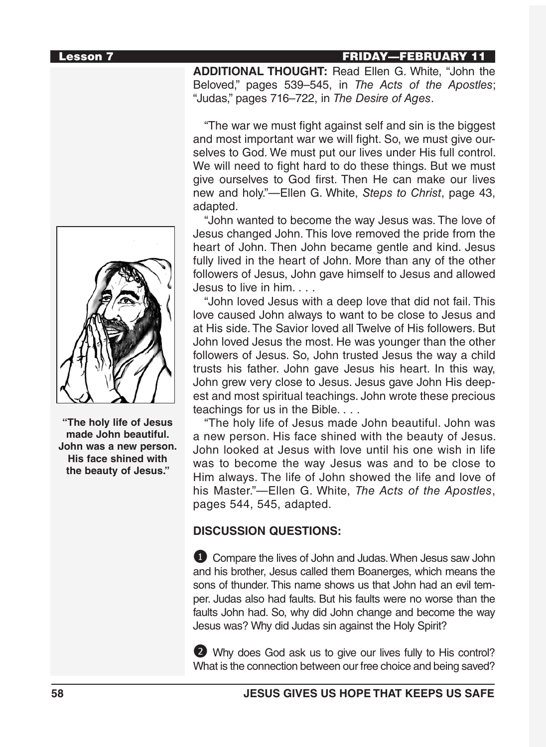#### Lesson 7 FRIDAY—FEBRUARY 11



**"The holy life of Jesus made John beautiful. John was a new person. His face shined with the beauty of Jesus."**

**ADDITIONAL THOUGHT:** Read Ellen G. White, "John the Beloved," pages 539–545, in *The Acts of the Apostles*; "Judas," pages 716–722, in *The Desire of Ages*.

"The war we must fight against self and sin is the biggest and most important war we will fight. So, we must give ourselves to God. We must put our lives under His full control. We will need to fight hard to do these things. But we must give ourselves to God first. Then He can make our lives new and holy."—Ellen G. White, *Steps to Christ*, page 43, adapted.

"John wanted to become the way Jesus was. The love of Jesus changed John. This love removed the pride from the heart of John. Then John became gentle and kind. Jesus fully lived in the heart of John. More than any of the other followers of Jesus, John gave himself to Jesus and allowed Jesus to live in him. . . .

"John loved Jesus with a deep love that did not fail. This love caused John always to want to be close to Jesus and at His side. The Savior loved all Twelve of His followers. But John loved Jesus the most. He was younger than the other followers of Jesus. So, John trusted Jesus the way a child trusts his father. John gave Jesus his heart. In this way, John grew very close to Jesus. Jesus gave John His deepest and most spiritual teachings. John wrote these precious teachings for us in the Bible. . . .

"The holy life of Jesus made John beautiful. John was a new person. His face shined with the beauty of Jesus. John looked at Jesus with love until his one wish in life was to become the way Jesus was and to be close to Him always. The life of John showed the life and love of his Master."—Ellen G. White, *The Acts of the Apostles*, pages 544, 545, adapted.

# **DISCUSSION QUESTIONS:**

**1** Compare the lives of John and Judas. When Jesus saw John and his brother, Jesus called them Boanerges, which means the sons of thunder. This name shows us that John had an evil temper. Judas also had faults. But his faults were no worse than the faults John had. So, why did John change and become the way Jesus was? Why did Judas sin against the Holy Spirit?

2 Why does God ask us to give our lives fully to His control? What is the connection between our free choice and being saved?